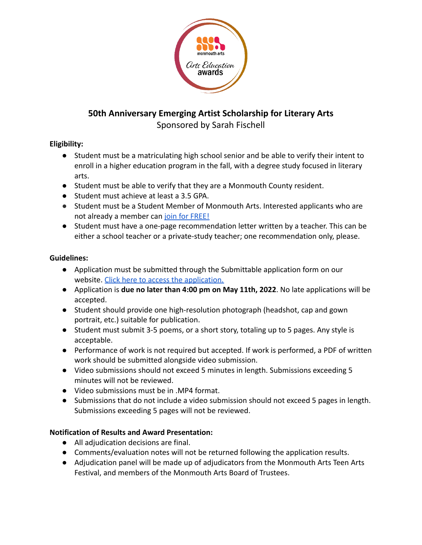

## **50th Anniversary Emerging Artist Scholarship for Literary Arts**

Sponsored by Sarah Fischell

## **Eligibility:**

- Student must be a matriculating high school senior and be able to verify their intent to enroll in a higher education program in the fall, with a degree study focused in literary arts.
- Student must be able to verify that they are a Monmouth County resident.
- Student must achieve at least a 3.5 GPA.
- Student must be a Student Member of Monmouth Arts. Interested applicants who are not already a member can [join for FREE!](https://www.monmoutharts.org/join-us)
- Student must have a one-page recommendation letter written by a teacher. This can be either a school teacher or a private-study teacher; one recommendation only, please.

## **Guidelines:**

- Application must be submitted through the Submittable application form on our website. [Click here to access the application.](https://www.monmoutharts.org/literaryartsscholarship)
- Application is **due no later than 4:00 pm on May 11th, 2022**. No late applications will be accepted.
- Student should provide one high-resolution photograph (headshot, cap and gown portrait, etc.) suitable for publication.
- Student must submit 3-5 poems, or a short story, totaling up to 5 pages. Any style is acceptable.
- Performance of work is not required but accepted. If work is performed, a PDF of written work should be submitted alongside video submission.
- Video submissions should not exceed 5 minutes in length. Submissions exceeding 5 minutes will not be reviewed.
- Video submissions must be in .MP4 format.
- Submissions that do not include a video submission should not exceed 5 pages in length. Submissions exceeding 5 pages will not be reviewed.

## **Notification of Results and Award Presentation:**

- All adjudication decisions are final.
- Comments/evaluation notes will not be returned following the application results.
- Adjudication panel will be made up of adjudicators from the Monmouth Arts Teen Arts Festival, and members of the Monmouth Arts Board of Trustees.